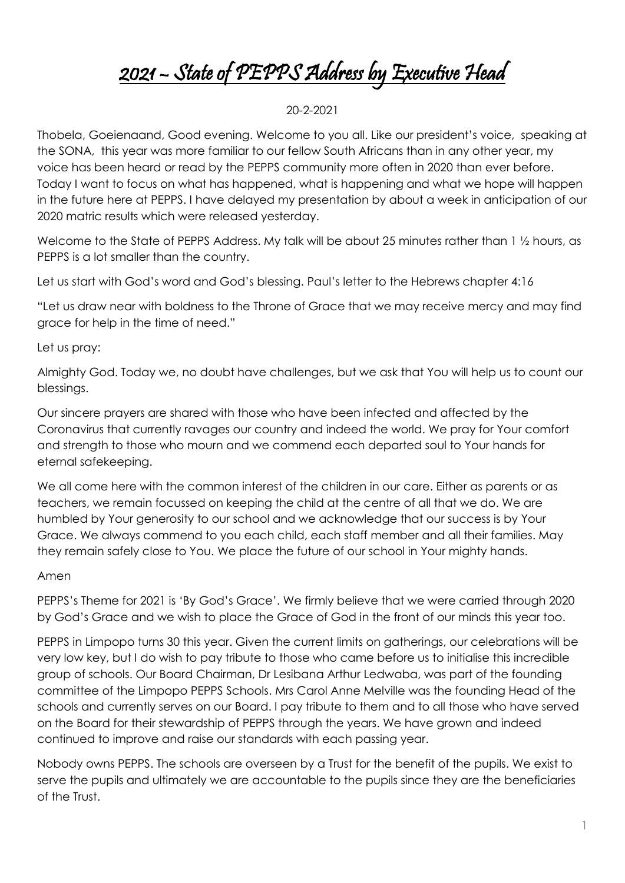## 2021 – State of PEPPS Address by Executive Head

## 20-2-2021

Thobela, Goeienaand, Good evening. Welcome to you all. Like our president's voice, speaking at the SONA, this year was more familiar to our fellow South Africans than in any other year, my voice has been heard or read by the PEPPS community more often in 2020 than ever before. Today I want to focus on what has happened, what is happening and what we hope will happen in the future here at PEPPS. I have delayed my presentation by about a week in anticipation of our 2020 matric results which were released yesterday.

Welcome to the State of PEPPS Address. My talk will be about 25 minutes rather than 1 1/2 hours, as PEPPS is a lot smaller than the country.

Let us start with God's word and God's blessing. Paul's letter to the Hebrews chapter 4:16

"Let us draw near with boldness to the Throne of Grace that we may receive mercy and may find grace for help in the time of need."

## Let us pray:

Almighty God. Today we, no doubt have challenges, but we ask that You will help us to count our blessings.

Our sincere prayers are shared with those who have been infected and affected by the Coronavirus that currently ravages our country and indeed the world. We pray for Your comfort and strength to those who mourn and we commend each departed soul to Your hands for eternal safekeeping.

We all come here with the common interest of the children in our care. Either as parents or as teachers, we remain focussed on keeping the child at the centre of all that we do. We are humbled by Your generosity to our school and we acknowledge that our success is by Your Grace. We always commend to you each child, each staff member and all their families. May they remain safely close to You. We place the future of our school in Your mighty hands.

## Amen

PEPPS's Theme for 2021 is 'By God's Grace'. We firmly believe that we were carried through 2020 by God's Grace and we wish to place the Grace of God in the front of our minds this year too.

PEPPS in Limpopo turns 30 this year. Given the current limits on gatherings, our celebrations will be very low key, but I do wish to pay tribute to those who came before us to initialise this incredible group of schools. Our Board Chairman, Dr Lesibana Arthur Ledwaba, was part of the founding committee of the Limpopo PEPPS Schools. Mrs Carol Anne Melville was the founding Head of the schools and currently serves on our Board. I pay tribute to them and to all those who have served on the Board for their stewardship of PEPPS through the years. We have grown and indeed continued to improve and raise our standards with each passing year.

Nobody owns PEPPS. The schools are overseen by a Trust for the benefit of the pupils. We exist to serve the pupils and ultimately we are accountable to the pupils since they are the beneficiaries of the Trust.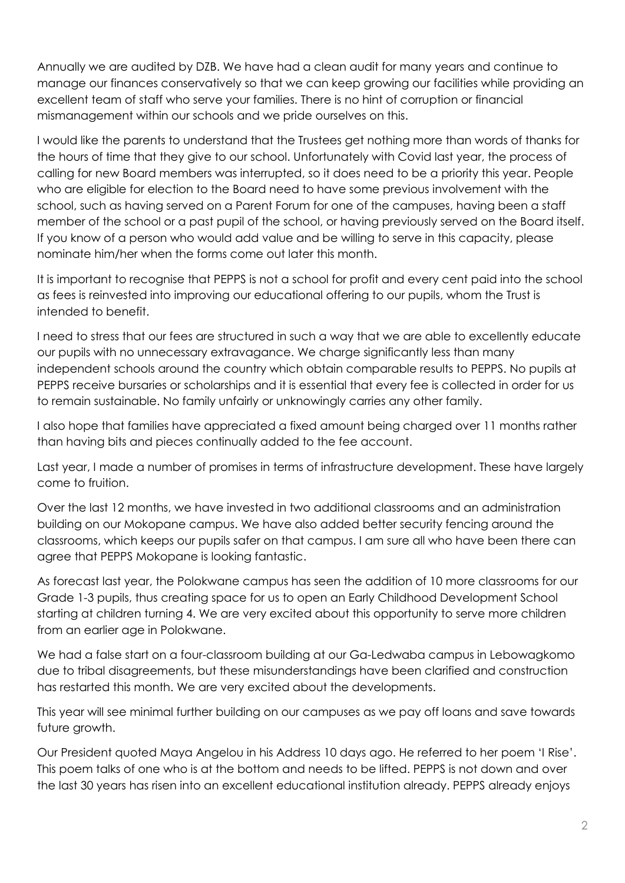Annually we are audited by DZB. We have had a clean audit for many years and continue to manage our finances conservatively so that we can keep growing our facilities while providing an excellent team of staff who serve your families. There is no hint of corruption or financial mismanagement within our schools and we pride ourselves on this.

I would like the parents to understand that the Trustees get nothing more than words of thanks for the hours of time that they give to our school. Unfortunately with Covid last year, the process of calling for new Board members was interrupted, so it does need to be a priority this year. People who are eligible for election to the Board need to have some previous involvement with the school, such as having served on a Parent Forum for one of the campuses, having been a staff member of the school or a past pupil of the school, or having previously served on the Board itself. If you know of a person who would add value and be willing to serve in this capacity, please nominate him/her when the forms come out later this month.

It is important to recognise that PEPPS is not a school for profit and every cent paid into the school as fees is reinvested into improving our educational offering to our pupils, whom the Trust is intended to benefit.

I need to stress that our fees are structured in such a way that we are able to excellently educate our pupils with no unnecessary extravagance. We charge significantly less than many independent schools around the country which obtain comparable results to PEPPS. No pupils at PEPPS receive bursaries or scholarships and it is essential that every fee is collected in order for us to remain sustainable. No family unfairly or unknowingly carries any other family.

I also hope that families have appreciated a fixed amount being charged over 11 months rather than having bits and pieces continually added to the fee account.

Last year, I made a number of promises in terms of infrastructure development. These have largely come to fruition.

Over the last 12 months, we have invested in two additional classrooms and an administration building on our Mokopane campus. We have also added better security fencing around the classrooms, which keeps our pupils safer on that campus. I am sure all who have been there can agree that PEPPS Mokopane is looking fantastic.

As forecast last year, the Polokwane campus has seen the addition of 10 more classrooms for our Grade 1-3 pupils, thus creating space for us to open an Early Childhood Development School starting at children turning 4. We are very excited about this opportunity to serve more children from an earlier age in Polokwane.

We had a false start on a four-classroom building at our Ga-Ledwaba campus in Lebowagkomo due to tribal disagreements, but these misunderstandings have been clarified and construction has restarted this month. We are very excited about the developments.

This year will see minimal further building on our campuses as we pay off loans and save towards future growth.

Our President quoted Maya Angelou in his Address 10 days ago. He referred to her poem 'I Rise'. This poem talks of one who is at the bottom and needs to be lifted. PEPPS is not down and over the last 30 years has risen into an excellent educational institution already. PEPPS already enjoys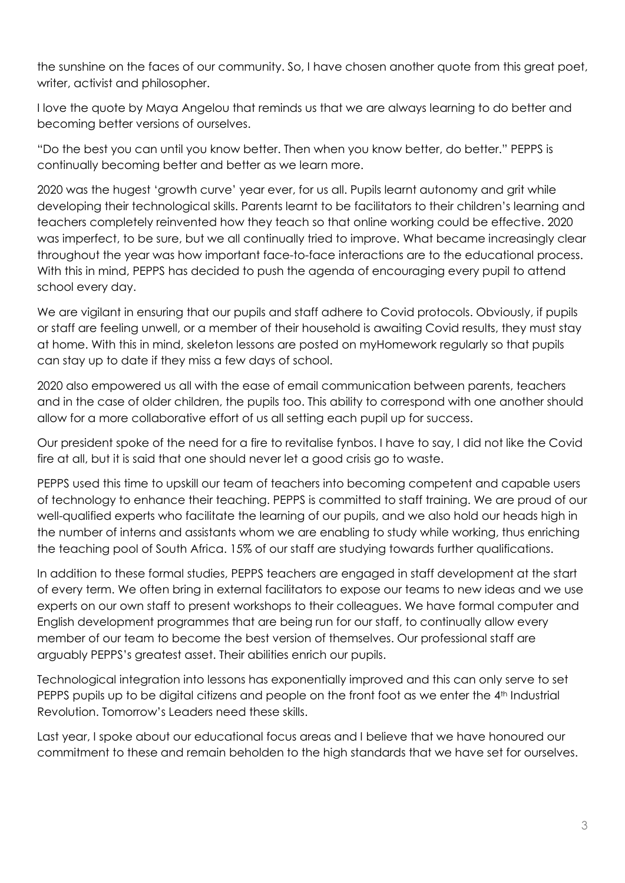the sunshine on the faces of our community. So, I have chosen another quote from this great poet, writer, activist and philosopher.

I love the quote by Maya Angelou that reminds us that we are always learning to do better and becoming better versions of ourselves.

"Do the best you can until you know better. Then when you know better, do better." PEPPS is continually becoming better and better as we learn more.

2020 was the hugest 'growth curve' year ever, for us all. Pupils learnt autonomy and grit while developing their technological skills. Parents learnt to be facilitators to their children's learning and teachers completely reinvented how they teach so that online working could be effective. 2020 was imperfect, to be sure, but we all continually tried to improve. What became increasingly clear throughout the year was how important face-to-face interactions are to the educational process. With this in mind, PEPPS has decided to push the agenda of encouraging every pupil to attend school every day.

We are vigilant in ensuring that our pupils and staff adhere to Covid protocols. Obviously, if pupils or staff are feeling unwell, or a member of their household is awaiting Covid results, they must stay at home. With this in mind, skeleton lessons are posted on myHomework regularly so that pupils can stay up to date if they miss a few days of school.

2020 also empowered us all with the ease of email communication between parents, teachers and in the case of older children, the pupils too. This ability to correspond with one another should allow for a more collaborative effort of us all setting each pupil up for success.

Our president spoke of the need for a fire to revitalise fynbos. I have to say, I did not like the Covid fire at all, but it is said that one should never let a good crisis go to waste.

PEPPS used this time to upskill our team of teachers into becoming competent and capable users of technology to enhance their teaching. PEPPS is committed to staff training. We are proud of our well-qualified experts who facilitate the learning of our pupils, and we also hold our heads high in the number of interns and assistants whom we are enabling to study while working, thus enriching the teaching pool of South Africa. 15% of our staff are studying towards further qualifications.

In addition to these formal studies, PEPPS teachers are engaged in staff development at the start of every term. We often bring in external facilitators to expose our teams to new ideas and we use experts on our own staff to present workshops to their colleagues. We have formal computer and English development programmes that are being run for our staff, to continually allow every member of our team to become the best version of themselves. Our professional staff are arguably PEPPS's greatest asset. Their abilities enrich our pupils.

Technological integration into lessons has exponentially improved and this can only serve to set PEPPS pupils up to be digital citizens and people on the front foot as we enter the 4<sup>th</sup> Industrial Revolution. Tomorrow's Leaders need these skills.

Last year, I spoke about our educational focus areas and I believe that we have honoured our commitment to these and remain beholden to the high standards that we have set for ourselves.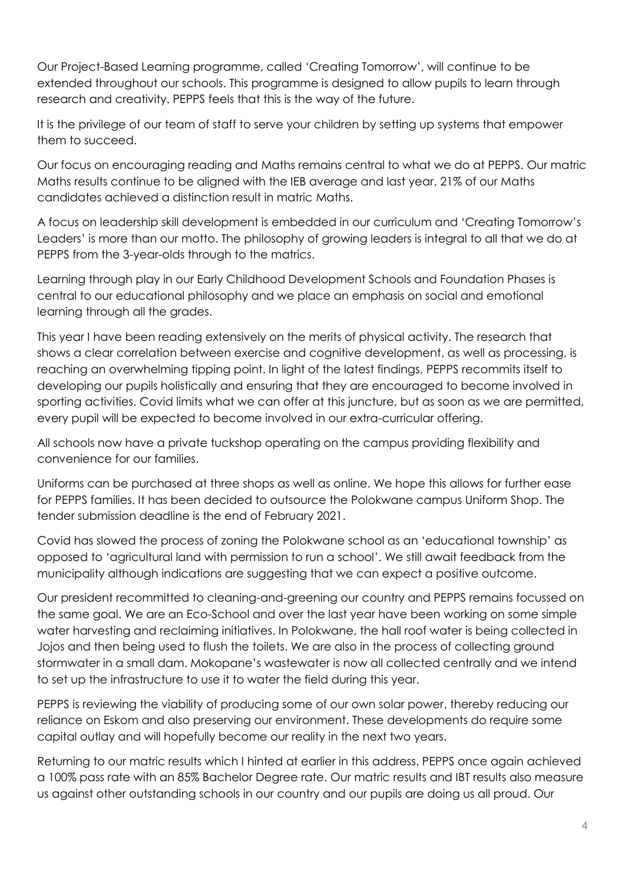Our Project-Based Learning programme, called 'Creating Tomorrow', will continue to be extended throughout our schools. This programme is designed to allow pupils to learn through research and creativity. PEPPS feels that this is the way of the future.

It is the privilege of our team of staff to serve your children by setting up systems that empower them to succeed.

Our focus on encouraging reading and Maths remains central to what we do at PEPPS. Our matric Maths results continue to be aligned with the IEB average and last year, 21% of our Maths candidates achieved a distinction result in matric Maths.

A focus on leadership skill development is embedded in our curriculum and 'Creating Tomorrow's Leaders' is more than our motto. The philosophy of growing leaders is integral to all that we do at PEPPS from the 3-year-olds through to the matrics.

Learning through play in our Early Childhood Development Schools and Foundation Phases is central to our educational philosophy and we place an emphasis on social and emotional learning through all the grades.

This year I have been reading extensively on the merits of physical activity. The research that shows a clear correlation between exercise and cognitive development, as well as processing, is reaching an overwhelming tipping point. In light of the latest findings, PEPPS recommits itself to developing our pupils holistically and ensuring that they are encouraged to become involved in sporting activities. Covid limits what we can offer at this juncture, but as soon as we are permitted, every pupil will be expected to become involved in our extra-curricular offering.

All schools now have a private tuckshop operating on the campus providing flexibility and convenience for our families.

Uniforms can be purchased at three shops as well as online. We hope this allows for further ease for PEPPS families. It has been decided to outsource the Polokwane campus Uniform Shop. The tender submission deadline is the end of February 2021.

Covid has slowed the process of zoning the Polokwane school as an 'educational township' as opposed to 'agricultural land with permission to run a school'. We still await feedback from the municipality although indications are suggesting that we can expect a positive outcome.

Our president recommitted to cleaning-and-greening our country and PEPPS remains focussed on the same goal. We are an Eco-School and over the last year have been working on some simple water harvesting and reclaiming initiatives. In Polokwane, the hall roof water is being collected in Jojos and then being used to flush the toilets. We are also in the process of collecting ground stormwater in a small dam. Mokopane's wastewater is now all collected centrally and we intend to set up the infrastructure to use it to water the field during this year.

PEPPS is reviewing the viability of producing some of our own solar power, thereby reducing our reliance on Eskom and also preserving our environment. These developments do require some capital outlay and will hopefully become our reality in the next two years.

Returning to our matric results which I hinted at earlier in this address. PEPPS once again achieved a 100% pass rate with an 85% Bachelor Degree rate. Our matric results and IBT results also measure us against other outstanding schools in our country and our pupils are doing us all proud. Our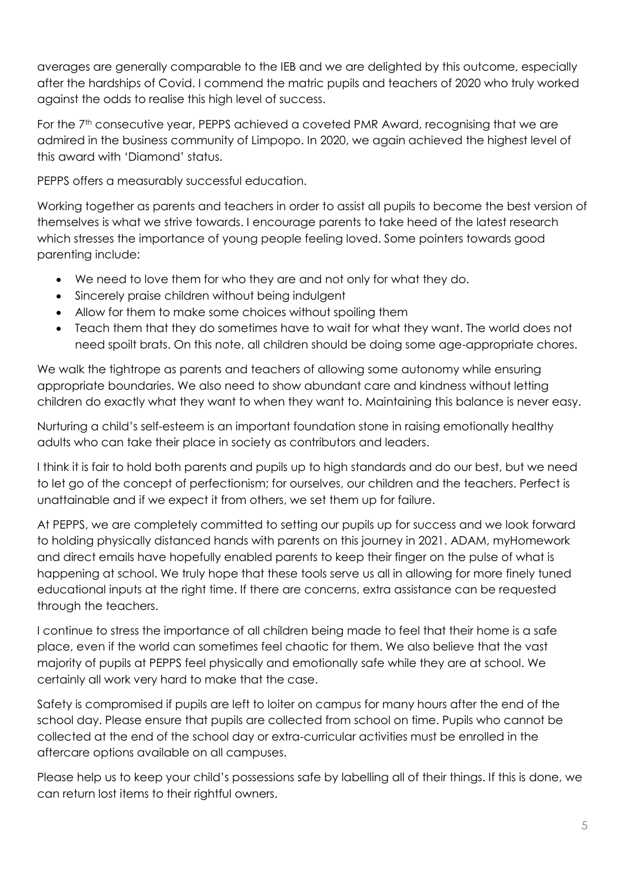averages are generally comparable to the IEB and we are delighted by this outcome, especially after the hardships of Covid. I commend the matric pupils and teachers of 2020 who truly worked against the odds to realise this high level of success.

For the 7<sup>th</sup> consecutive year, PEPPS achieved a coveted PMR Award, recognising that we are admired in the business community of Limpopo. In 2020, we again achieved the highest level of this award with 'Diamond' status.

PEPPS offers a measurably successful education.

Working together as parents and teachers in order to assist all pupils to become the best version of themselves is what we strive towards. I encourage parents to take heed of the latest research which stresses the importance of young people feeling loved. Some pointers towards good parenting include:

- We need to love them for who they are and not only for what they do.
- Sincerely praise children without being indulgent
- Allow for them to make some choices without spoiling them
- Teach them that they do sometimes have to wait for what they want. The world does not need spoilt brats. On this note, all children should be doing some age-appropriate chores.

We walk the tightrope as parents and teachers of allowing some autonomy while ensuring appropriate boundaries. We also need to show abundant care and kindness without letting children do exactly what they want to when they want to. Maintaining this balance is never easy.

Nurturing a child's self-esteem is an important foundation stone in raising emotionally healthy adults who can take their place in society as contributors and leaders.

I think it is fair to hold both parents and pupils up to high standards and do our best, but we need to let go of the concept of perfectionism; for ourselves, our children and the teachers. Perfect is unattainable and if we expect it from others, we set them up for failure.

At PEPPS, we are completely committed to setting our pupils up for success and we look forward to holding physically distanced hands with parents on this journey in 2021. ADAM, myHomework and direct emails have hopefully enabled parents to keep their finger on the pulse of what is happening at school. We truly hope that these tools serve us all in allowing for more finely tuned educational inputs at the right time. If there are concerns, extra assistance can be requested through the teachers.

I continue to stress the importance of all children being made to feel that their home is a safe place, even if the world can sometimes feel chaotic for them. We also believe that the vast majority of pupils at PEPPS feel physically and emotionally safe while they are at school. We certainly all work very hard to make that the case.

Safety is compromised if pupils are left to loiter on campus for many hours after the end of the school day. Please ensure that pupils are collected from school on time. Pupils who cannot be collected at the end of the school day or extra-curricular activities must be enrolled in the aftercare options available on all campuses.

Please help us to keep your child's possessions safe by labelling all of their things. If this is done, we can return lost items to their rightful owners.